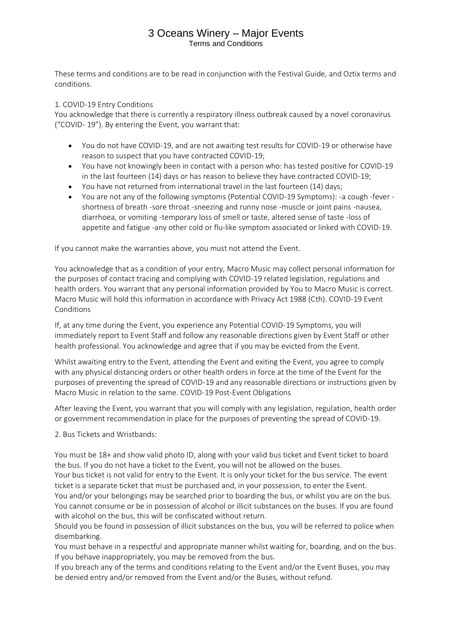These terms and conditions are to be read in conjunction with the Festival Guide, and Oztix terms and conditions.

### 1. COVID-19 Entry Conditions

You acknowledge that there is currently a respiratory illness outbreak caused by a novel coronavirus ("COVID- 19"). By entering the Event, you warrant that:

- You do not have COVID-19, and are not awaiting test results for COVID-19 or otherwise have reason to suspect that you have contracted COVID-19;
- You have not knowingly been in contact with a person who: has tested positive for COVID-19 in the last fourteen (14) days or has reason to believe they have contracted COVID-19;
- You have not returned from international travel in the last fourteen (14) days;
- You are not any of the following symptoms (Potential COVID-19 Symptoms): -a cough -fever shortness of breath -sore throat -sneezing and runny nose -muscle or joint pains -nausea, diarrhoea, or vomiting -temporary loss of smell or taste, altered sense of taste -loss of appetite and fatigue -any other cold or flu-like symptom associated or linked with COVID-19.

If you cannot make the warranties above, you must not attend the Event.

You acknowledge that as a condition of your entry, Macro Music may collect personal information for the purposes of contact tracing and complying with COVID-19 related legislation, regulations and health orders. You warrant that any personal information provided by You to Macro Music is correct. Macro Music will hold this information in accordance with Privacy Act 1988 (Cth). COVID-19 Event Conditions

If, at any time during the Event, you experience any Potential COVID-19 Symptoms, you will immediately report to Event Staff and follow any reasonable directions given by Event Staff or other health professional. You acknowledge and agree that if you may be evicted from the Event.

Whilst awaiting entry to the Event, attending the Event and exiting the Event, you agree to comply with any physical distancing orders or other health orders in force at the time of the Event for the purposes of preventing the spread of COVID-19 and any reasonable directions or instructions given by Macro Music in relation to the same. COVID-19 Post-Event Obligations

After leaving the Event, you warrant that you will comply with any legislation, regulation, health order or government recommendation in place for the purposes of preventing the spread of COVID-19.

2. Bus Tickets and Wristbands:

You must be 18+ and show valid photo ID, along with your valid bus ticket and Event ticket to board the bus. If you do not have a ticket to the Event, you will not be allowed on the buses.

Your bus ticket is not valid for entry to the Event. It is only your ticket for the bus service. The event ticket is a separate ticket that must be purchased and, in your possession, to enter the Event.

You and/or your belongings may be searched prior to boarding the bus, or whilst you are on the bus. You cannot consume or be in possession of alcohol or illicit substances on the buses. If you are found with alcohol on the bus, this will be confiscated without return.

Should you be found in possession of illicit substances on the bus, you will be referred to police when disembarking.

You must behave in a respectful and appropriate manner whilst waiting for, boarding, and on the bus. If you behave inappropriately, you may be removed from the bus.

If you breach any of the terms and conditions relating to the Event and/or the Event Buses, you may be denied entry and/or removed from the Event and/or the Buses, without refund.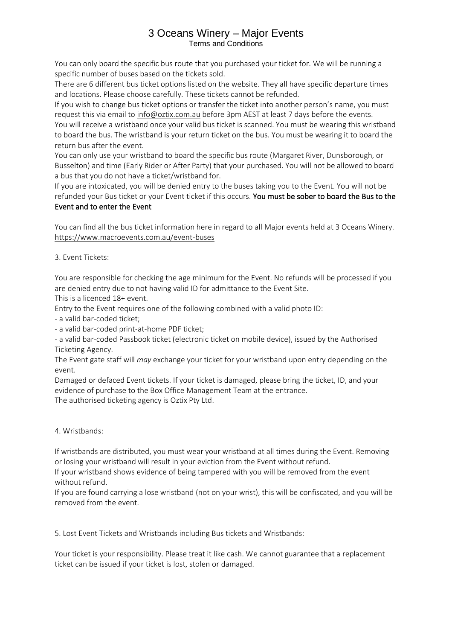You can only board the specific bus route that you purchased your ticket for. We will be running a specific number of buses based on the tickets sold.

There are 6 different bus ticket options listed on the website. They all have specific departure times and locations. Please choose carefully. These tickets cannot be refunded.

If you wish to change bus ticket options or transfer the ticket into another person's name, you must request this via email to [info@oztix.com.au](mailto:info@oztix.com.au) before 3pm AEST at least 7 days before the events.

You will receive a wristband once your valid bus ticket is scanned. You must be wearing this wristband to board the bus. The wristband is your return ticket on the bus. You must be wearing it to board the return bus after the event.

You can only use your wristband to board the specific bus route (Margaret River, Dunsborough, or Busselton) and time (Early Rider or After Party) that your purchased. You will not be allowed to board a bus that you do not have a ticket/wristband for.

If you are intoxicated, you will be denied entry to the buses taking you to the Event. You will not be refunded your Bus ticket or your Event ticket if this occurs. You must be sober to board the Bus to the Event and to enter the Event

You can find all the bus ticket information here in regard to all Major events held at 3 Oceans Winery. <https://www.macroevents.com.au/event-buses>

3. Event Tickets:

You are responsible for checking the age minimum for the Event. No refunds will be processed if you are denied entry due to not having valid ID for admittance to the Event Site.

This is a licenced 18+ event.

Entry to the Event requires one of the following combined with a valid photo ID:

- a valid bar-coded ticket;

- a valid bar-coded print-at-home PDF ticket;

- a valid bar-coded Passbook ticket (electronic ticket on mobile device), issued by the Authorised Ticketing Agency.

The Event gate staff will *may* exchange your ticket for your wristband upon entry depending on the event.

Damaged or defaced Event tickets. If your ticket is damaged, please bring the ticket, ID, and your evidence of purchase to the Box Office Management Team at the entrance. The authorised ticketing agency is Oztix Pty Ltd.

4. Wristbands:

If wristbands are distributed, you must wear your wristband at all times during the Event. Removing or losing your wristband will result in your eviction from the Event without refund.

If your wristband shows evidence of being tampered with you will be removed from the event without refund.

If you are found carrying a lose wristband (not on your wrist), this will be confiscated, and you will be removed from the event.

5. Lost Event Tickets and Wristbands including Bus tickets and Wristbands:

Your ticket is your responsibility. Please treat it like cash. We cannot guarantee that a replacement ticket can be issued if your ticket is lost, stolen or damaged.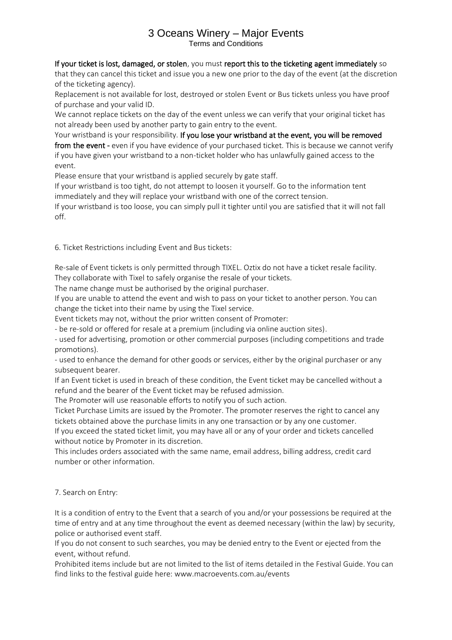## If your ticket is lost, damaged, or stolen, you must report this to the ticketing agent immediately so

that they can cancel this ticket and issue you a new one prior to the day of the event (at the discretion of the ticketing agency).

Replacement is not available for lost, destroyed or stolen Event or Bus tickets unless you have proof of purchase and your valid ID.

We cannot replace tickets on the day of the event unless we can verify that your original ticket has not already been used by another party to gain entry to the event.

Your wristband is your responsibility. If you lose your wristband at the event, you will be removed from the event - even if you have evidence of your purchased ticket. This is because we cannot verify if you have given your wristband to a non-ticket holder who has unlawfully gained access to the event.

Please ensure that your wristband is applied securely by gate staff.

If your wristband is too tight, do not attempt to loosen it yourself. Go to the information tent immediately and they will replace your wristband with one of the correct tension.

If your wristband is too loose, you can simply pull it tighter until you are satisfied that it will not fall off.

6. Ticket Restrictions including Event and Bus tickets:

Re-sale of Event tickets is only permitted through TIXEL. Oztix do not have a ticket resale facility. They collaborate with Tixel to safely organise the resale of your tickets.

The name change must be authorised by the original purchaser.

If you are unable to attend the event and wish to pass on your ticket to another person. You can change the ticket into their name by using the Tixel service.

Event tickets may not, without the prior written consent of Promoter:

- be re-sold or offered for resale at a premium (including via online auction sites).

- used for advertising, promotion or other commercial purposes (including competitions and trade promotions).

- used to enhance the demand for other goods or services, either by the original purchaser or any subsequent bearer.

If an Event ticket is used in breach of these condition, the Event ticket may be cancelled without a refund and the bearer of the Event ticket may be refused admission.

The Promoter will use reasonable efforts to notify you of such action.

Ticket Purchase Limits are issued by the Promoter. The promoter reserves the right to cancel any tickets obtained above the purchase limits in any one transaction or by any one customer.

If you exceed the stated ticket limit, you may have all or any of your order and tickets cancelled without notice by Promoter in its discretion.

This includes orders associated with the same name, email address, billing address, credit card number or other information.

7. Search on Entry:

It is a condition of entry to the Event that a search of you and/or your possessions be required at the time of entry and at any time throughout the event as deemed necessary (within the law) by security, police or authorised event staff.

If you do not consent to such searches, you may be denied entry to the Event or ejected from the event, without refund.

Prohibited items include but are not limited to the list of items detailed in the Festival Guide. You can find links to the festival guide here: www.macroevents.com.au/events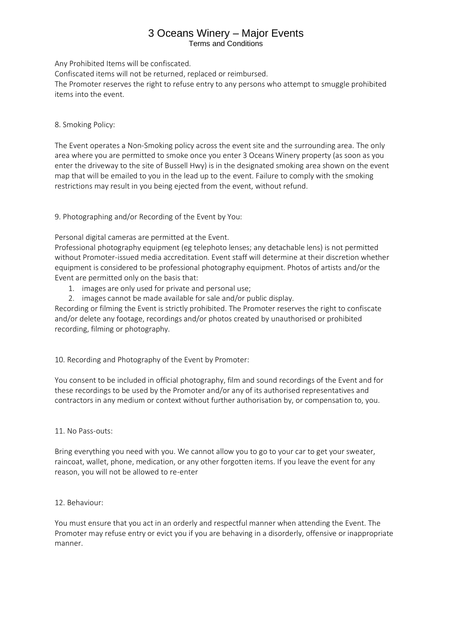# 3 Oceans Winery – Major Events

Terms and Conditions

Any Prohibited Items will be confiscated.

Confiscated items will not be returned, replaced or reimbursed.

The Promoter reserves the right to refuse entry to any persons who attempt to smuggle prohibited items into the event.

8. Smoking Policy:

The Event operates a Non-Smoking policy across the event site and the surrounding area. The only area where you are permitted to smoke once you enter 3 Oceans Winery property (as soon as you enter the driveway to the site of Bussell Hwy) is in the designated smoking area shown on the event map that will be emailed to you in the lead up to the event. Failure to comply with the smoking restrictions may result in you being ejected from the event, without refund.

9. Photographing and/or Recording of the Event by You:

Personal digital cameras are permitted at the Event.

Professional photography equipment (eg telephoto lenses; any detachable lens) is not permitted without Promoter-issued media accreditation. Event staff will determine at their discretion whether equipment is considered to be professional photography equipment. Photos of artists and/or the Event are permitted only on the basis that:

- 1. images are only used for private and personal use;
- 2. images cannot be made available for sale and/or public display.

Recording or filming the Event is strictly prohibited. The Promoter reserves the right to confiscate and/or delete any footage, recordings and/or photos created by unauthorised or prohibited recording, filming or photography.

10. Recording and Photography of the Event by Promoter:

You consent to be included in official photography, film and sound recordings of the Event and for these recordings to be used by the Promoter and/or any of its authorised representatives and contractors in any medium or context without further authorisation by, or compensation to, you.

11. No Pass-outs:

Bring everything you need with you. We cannot allow you to go to your car to get your sweater, raincoat, wallet, phone, medication, or any other forgotten items. If you leave the event for any reason, you will not be allowed to re-enter

### 12. Behaviour:

You must ensure that you act in an orderly and respectful manner when attending the Event. The Promoter may refuse entry or evict you if you are behaving in a disorderly, offensive or inappropriate manner.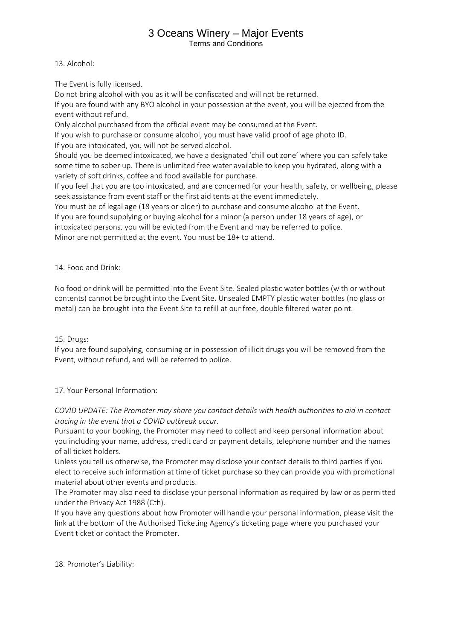## 3 Oceans Winery – Major Events

Terms and Conditions

13. Alcohol:

The Event is fully licensed.

Do not bring alcohol with you as it will be confiscated and will not be returned.

If you are found with any BYO alcohol in your possession at the event, you will be ejected from the event without refund.

Only alcohol purchased from the official event may be consumed at the Event.

If you wish to purchase or consume alcohol, you must have valid proof of age photo ID.

If you are intoxicated, you will not be served alcohol.

Should you be deemed intoxicated, we have a designated 'chill out zone' where you can safely take some time to sober up. There is unlimited free water available to keep you hydrated, along with a variety of soft drinks, coffee and food available for purchase.

If you feel that you are too intoxicated, and are concerned for your health, safety, or wellbeing, please seek assistance from event staff or the first aid tents at the event immediately.

You must be of legal age (18 years or older) to purchase and consume alcohol at the Event.

If you are found supplying or buying alcohol for a minor (a person under 18 years of age), or intoxicated persons, you will be evicted from the Event and may be referred to police.

Minor are not permitted at the event. You must be 18+ to attend.

14. Food and Drink:

No food or drink will be permitted into the Event Site. Sealed plastic water bottles (with or without contents) cannot be brought into the Event Site. Unsealed EMPTY plastic water bottles (no glass or metal) can be brought into the Event Site to refill at our free, double filtered water point.

15. Drugs:

If you are found supplying, consuming or in possession of illicit drugs you will be removed from the Event, without refund, and will be referred to police.

17. Your Personal Information:

*COVID UPDATE: The Promoter may share you contact details with health authorities to aid in contact tracing in the event that a COVID outbreak occur.*

Pursuant to your booking, the Promoter may need to collect and keep personal information about you including your name, address, credit card or payment details, telephone number and the names of all ticket holders.

Unless you tell us otherwise, the Promoter may disclose your contact details to third parties if you elect to receive such information at time of ticket purchase so they can provide you with promotional material about other events and products.

The Promoter may also need to disclose your personal information as required by law or as permitted under the Privacy Act 1988 (Cth).

If you have any questions about how Promoter will handle your personal information, please visit the link at the bottom of the Authorised Ticketing Agency's ticketing page where you purchased your Event ticket or contact the Promoter.

18. Promoter's Liability: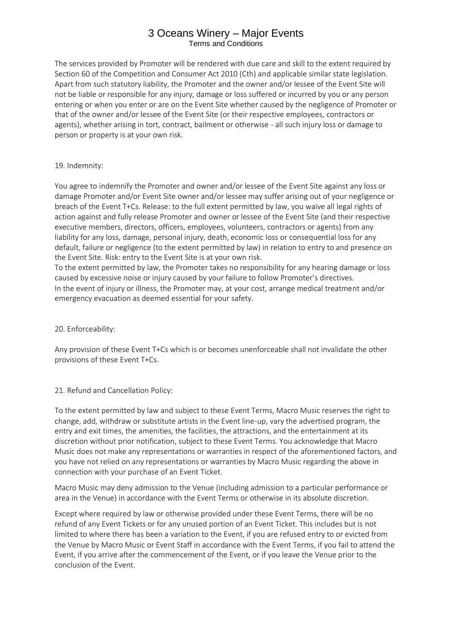The services provided by Promoter will be rendered with due care and skill to the extent required by Section 60 of the Competition and Consumer Act 2010 (Cth) and applicable similar state legislation. Apart from such statutory liability, the Promoter and the owner and/or lessee of the Event Site will not be liable or responsible for any injury, damage or loss suffered or incurred by you or any person entering or when you enter or are on the Event Site whether caused by the negligence of Promoter or that of the owner and/or lessee of the Event Site (or their respective employees, contractors or agents), whether arising in tort, contract, bailment or otherwise - all such injury loss or damage to person or property is at your own risk.

### 19. Indemnity:

You agree to indemnify the Promoter and owner and/or lessee of the Event Site against any loss or damage Promoter and/or Event Site owner and/or lessee may suffer arising out of your negligence or breach of the Event T+Cs. Release: to the full extent permitted by law, you waive all legal rights of action against and fully release Promoter and owner or lessee of the Event Site (and their respective executive members, directors, officers, employees, volunteers, contractors or agents) from any liability for any loss, damage, personal injury, death, economic loss or consequential loss for any default, failure or negligence (to the extent permitted by law) in relation to entry to and presence on the Event Site. Risk: entry to the Event Site is at your own risk.

To the extent permitted by law, the Promoter takes no responsibility for any hearing damage or loss caused by excessive noise or injury caused by your failure to follow Promoter's directives. In the event of injury or illness, the Promoter may, at your cost, arrange medical treatment and/or emergency evacuation as deemed essential for your safety.

### 20. Enforceability:

Any provision of these Event T+Cs which is or becomes unenforceable shall not invalidate the other provisions of these Event T+Cs.

### 21. Refund and Cancellation Policy:

To the extent permitted by law and subject to these Event Terms, Macro Music reserves the right to change, add, withdraw or substitute artists in the Event line-up, vary the advertised program, the entry and exit times, the amenities, the facilities, the attractions, and the entertainment at its discretion without prior notification, subject to these Event Terms. You acknowledge that Macro Music does not make any representations or warranties in respect of the aforementioned factors, and you have not relied on any representations or warranties by Macro Music regarding the above in connection with your purchase of an Event Ticket.

Macro Music may deny admission to the Venue (including admission to a particular performance or area in the Venue) in accordance with the Event Terms or otherwise in its absolute discretion.

Except where required by law or otherwise provided under these Event Terms, there will be no refund of any Event Tickets or for any unused portion of an Event Ticket. This includes but is not limited to where there has been a variation to the Event, if you are refused entry to or evicted from the Venue by Macro Music or Event Staff in accordance with the Event Terms, if you fail to attend the Event, if you arrive after the commencement of the Event, or if you leave the Venue prior to the conclusion of the Event.